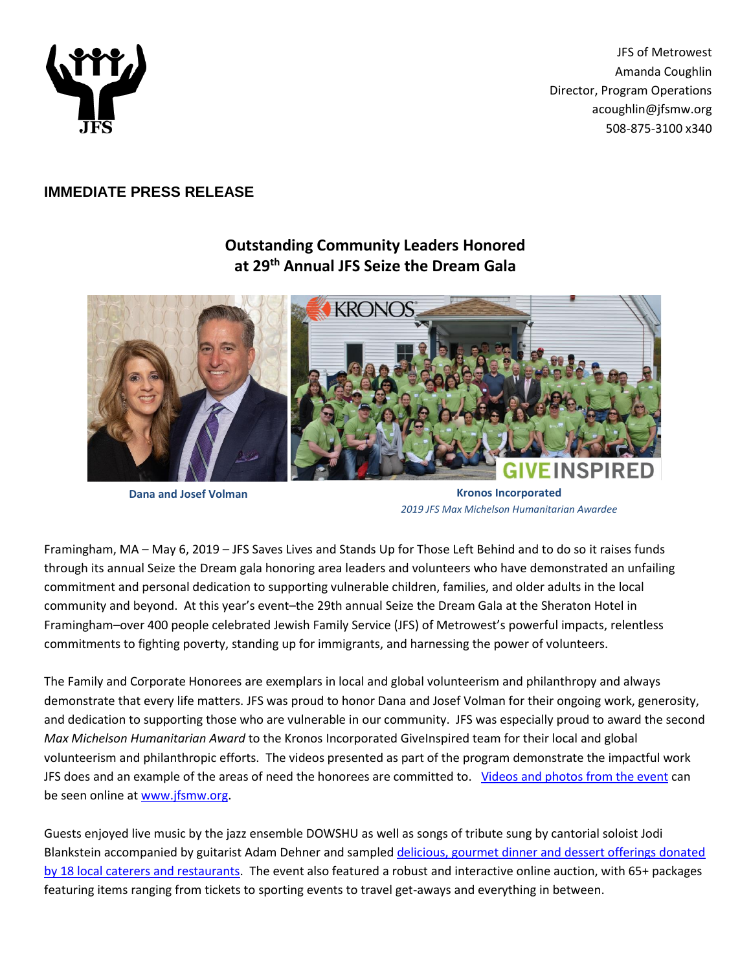

JFS of Metrowest Amanda Coughlin Director, Program Operations acoughlin@jfsmw.org 508-875-3100 x340

## **IMMEDIATE PRESS RELEASE**

## **Outstanding Community Leaders Honored at 29 th Annual JFS Seize the Dream Gala**



**Dana and Josef Volman Kronos Incorporated** *2019 JFS Max Michelson Humanitarian Awardee*

Framingham, MA – May 6, 2019 – JFS Saves Lives and Stands Up for Those Left Behind and to do so it raises funds through its annual Seize the Dream gala honoring area leaders and volunteers who have demonstrated an unfailing commitment and personal dedication to supporting vulnerable children, families, and older adults in the local community and beyond. At this year's event–the 29th annual Seize the Dream Gala at the Sheraton Hotel in Framingham–over 400 people celebrated Jewish Family Service (JFS) of Metrowest's powerful impacts, relentless commitments to fighting poverty, standing up for immigrants, and harnessing the power of volunteers.

The Family and Corporate Honorees are exemplars in local and global volunteerism and philanthropy and always demonstrate that every life matters. JFS was proud to honor Dana and Josef Volman for their ongoing work, generosity, and dedication to supporting those who are vulnerable in our community. JFS was especially proud to award the second *Max Michelson Humanitarian Award* to the Kronos Incorporated GiveInspired team for their local and global volunteerism and philanthropic efforts. The videos presented as part of the program demonstrate the impactful work JFS does and an example of the areas of need the honorees are committed to. [Videos and photos from the event](https://www.jfsmw.org/Seize-the-Dream-2019-upcoming.html) can be seen online at [www.jfsmw.org.](http://www.jfsmw.org/)

Guests enjoyed live music by the jazz ensemble DOWSHU as well as songs of tribute sung by cantorial soloist Jodi Blankstein accompanied by guitarist Adam Dehner and sample[d delicious, gourmet dinner and dessert offerings donated](https://jfsofmetrowest.wordpress.com/2019/05/02/many-thanks-to-these-food-providers-for-supporting-seize-the-dream-2019/)  [by 18 local caterers and restaurants.](https://jfsofmetrowest.wordpress.com/2019/05/02/many-thanks-to-these-food-providers-for-supporting-seize-the-dream-2019/) The event also featured a robust and interactive online auction, with 65+ packages featuring items ranging from tickets to sporting events to travel get-aways and everything in between.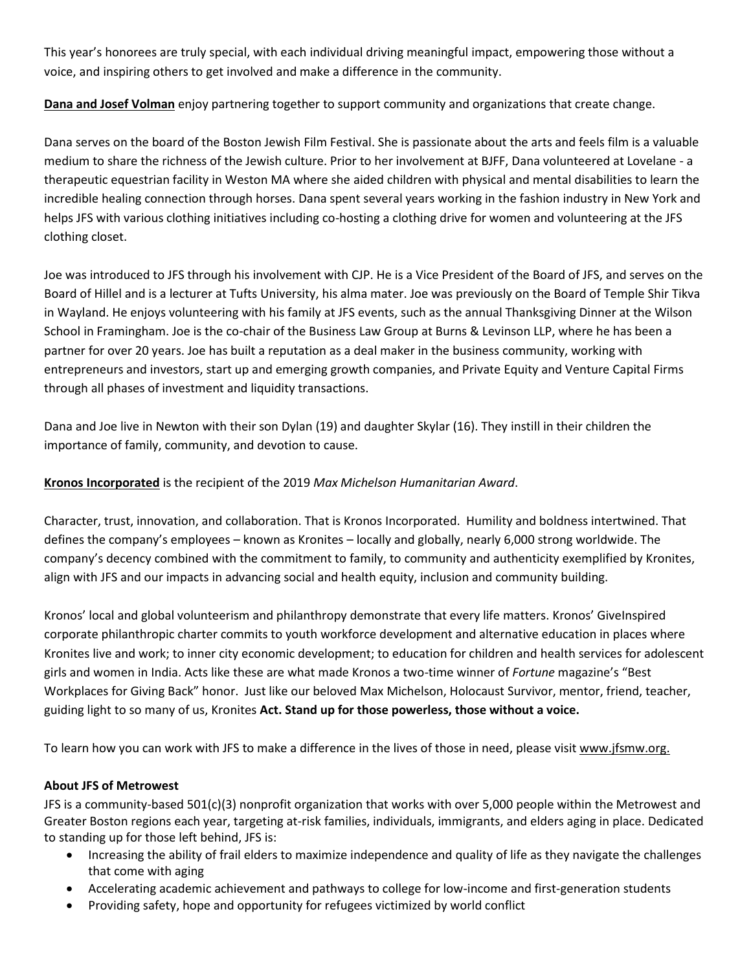This year's honorees are truly special, with each individual driving meaningful impact, empowering those without a voice, and inspiring others to get involved and make a difference in the community.

**Dana and Josef Volman** enjoy partnering together to support community and organizations that create change.

Dana serves on the board of the Boston Jewish Film Festival. She is passionate about the arts and feels film is a valuable medium to share the richness of the Jewish culture. Prior to her involvement at BJFF, Dana volunteered at Lovelane - a therapeutic equestrian facility in Weston MA where she aided children with physical and mental disabilities to learn the incredible healing connection through horses. Dana spent several years working in the fashion industry in New York and helps JFS with various clothing initiatives including co-hosting a clothing drive for women and volunteering at the JFS clothing closet.

Joe was introduced to JFS through his involvement with CJP. He is a Vice President of the Board of JFS, and serves on the Board of Hillel and is a lecturer at Tufts University, his alma mater. Joe was previously on the Board of Temple Shir Tikva in Wayland. He enjoys volunteering with his family at JFS events, such as the annual Thanksgiving Dinner at the Wilson School in Framingham. Joe is the co-chair of the Business Law Group at Burns & Levinson LLP, where he has been a partner for over 20 years. Joe has built a reputation as a deal maker in the business community, working with entrepreneurs and investors, start up and emerging growth companies, and Private Equity and Venture Capital Firms through all phases of investment and liquidity transactions.

Dana and Joe live in Newton with their son Dylan (19) and daughter Skylar (16). They instill in their children the importance of family, community, and devotion to cause.

## **Kronos Incorporated** is the recipient of the 2019 *Max Michelson Humanitarian Award*.

Character, trust, innovation, and collaboration. That is Kronos Incorporated. Humility and boldness intertwined. That defines the company's employees – known as Kronites – locally and globally, nearly 6,000 strong worldwide. The company's decency combined with the commitment to family, to community and authenticity exemplified by Kronites, align with JFS and our impacts in advancing social and health equity, inclusion and community building.

Kronos' local and global volunteerism and philanthropy demonstrate that every life matters. Kronos' GiveInspired corporate philanthropic charter commits to youth workforce development and alternative education in places where Kronites live and work; to inner city economic development; to education for children and health services for adolescent girls and women in India. Acts like these are what made Kronos a two-time winner of *Fortune* magazine's "Best Workplaces for Giving Back" honor. Just like our beloved Max Michelson, Holocaust Survivor, mentor, friend, teacher, guiding light to so many of us, Kronites **Act. Stand up for those powerless, those without a voice.**

To learn how you can work with JFS to make a difference in the lives of those in need, please visi[t www.jfsmw.org.](http://www.jfsmw.org/)

## **About JFS of Metrowest**

JFS is a community-based 501(c)(3) nonprofit organization that works with over 5,000 people within the Metrowest and Greater Boston regions each year, targeting at-risk families, individuals, immigrants, and elders aging in place. Dedicated to standing up for those left behind, JFS is:

- Increasing the ability of frail elders to maximize independence and quality of life as they navigate the challenges that come with aging
- Accelerating academic achievement and pathways to college for low-income and first-generation students
- Providing safety, hope and opportunity for refugees victimized by world conflict